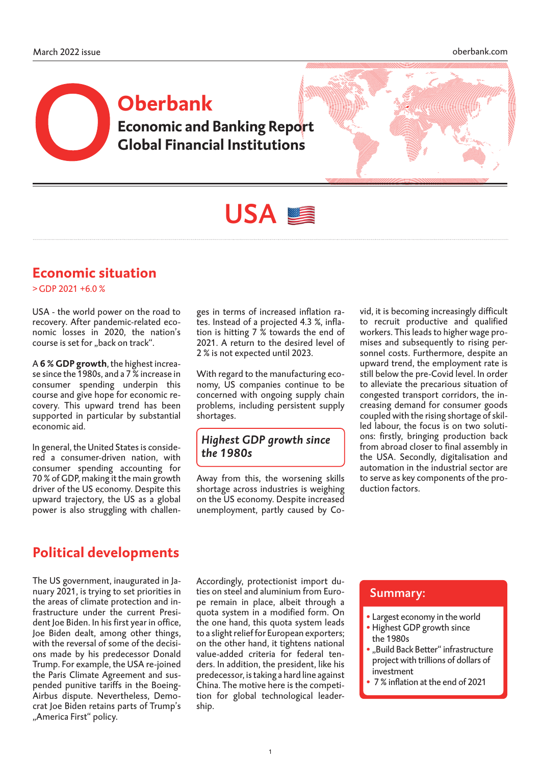# **Economic and Banking Report Global Financial Institutions Oberbank**



# USA<sup>S</sup>

## **Economic situation**

 $>$ GDP 2021 +6.0 %

USA - the world power on the road to recovery. After pandemic-related economic losses in 2020, the nation's course is set for "back on track".

A **6 % GDP growth**, the highest increase since the 1980s, and a 7 % increase in consumer spending underpin this course and give hope for economic recovery. This upward trend has been supported in particular by substantial economic aid.

In general, the United States is considered a consumer-driven nation, with consumer spending accounting for 70 % of GDP, making it the main growth driver of the US economy. Despite this upward trajectory, the US as a global power is also struggling with challenges in terms of increased inflation rates. Instead of a projected 4.3 %, inflation is hitting 7 % towards the end of 2021. A return to the desired level of 2 % is not expected until 2023.

With regard to the manufacturing economy, US companies continue to be concerned with ongoing supply chain problems, including persistent supply shortages.

### *Highest GDP growth since the 1980s*

Away from this, the worsening skills shortage across industries is weighing on the US economy. Despite increased unemployment, partly caused by Covid, it is becoming increasingly difficult to recruit productive and qualified workers. This leads to higher wage promises and subsequently to rising personnel costs. Furthermore, despite an upward trend, the employment rate is still below the pre-Covid level. In order to alleviate the precarious situation of congested transport corridors, the increasing demand for consumer goods coupled with the rising shortage of skilled labour, the focus is on two solutions: firstly, bringing production back from abroad closer to final assembly in the USA. Secondly, digitalisation and automation in the industrial sector are to serve as key components of the production factors.

## **Political developments**

The US government, inaugurated in January 2021, is trying to set priorities in the areas of climate protection and infrastructure under the current President Joe Biden. In his first year in office, Joe Biden dealt, among other things, with the reversal of some of the decisions made by his predecessor Donald Trump. For example, the USA re-joined the Paris Climate Agreement and suspended punitive tariffs in the Boeing-Airbus dispute. Nevertheless, Democrat Joe Biden retains parts of Trump's "America First" policy.

Accordingly, protectionist import duties on steel and aluminium from Europe remain in place, albeit through a quota system in a modified form. On the one hand, this quota system leads to a slight relief for European exporters; on the other hand, it tightens national value-added criteria for federal tenders. In addition, the president, like his predecessor, is taking a hard line against China. The motive here is the competition for global technological leadership.

### Summary:

- Largest economy in the world
- Highest GDP growth since the 1980s
- "Build Back Better" infrastructure project with trillions of dollars of investment
- 7 % inflation at the end of 2021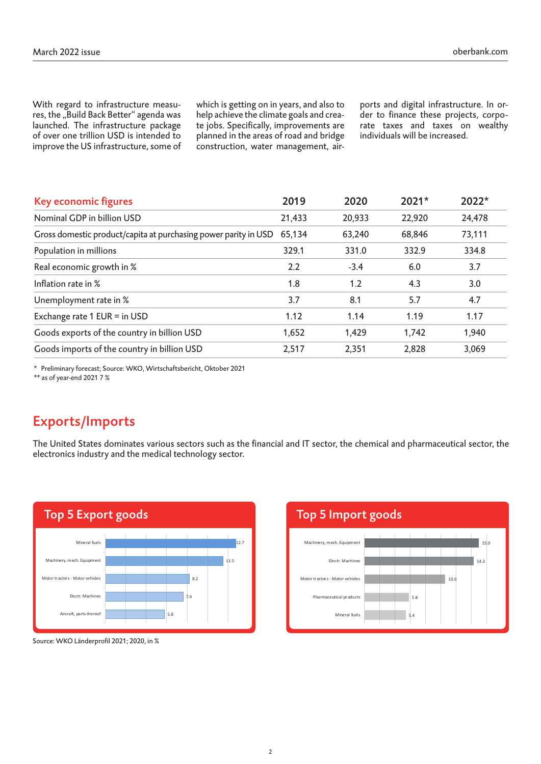With regard to infrastructure measures, the "Build Back Better" agenda was launched. The infrastructure package of over one trillion USD is intended to improve the US infrastructure, some of

which is getting on in years, and also to help achieve the climate goals and create jobs. Specifically, improvements are planned in the areas of road and bridge construction, water management, air-

ports and digital infrastructure. In order to finance these projects, corporate taxes and taxes on wealthy individuals will be increased.

| Key economic figures                                            | 2019   | 2020   | $2021*$ | 2022*  |
|-----------------------------------------------------------------|--------|--------|---------|--------|
| Nominal GDP in billion USD                                      | 21,433 | 20,933 | 22,920  | 24,478 |
| Gross domestic product/capita at purchasing power parity in USD | 65,134 | 63,240 | 68,846  | 73,111 |
| Population in millions                                          | 329.1  | 331.0  | 332.9   | 334.8  |
| Real economic growth in %                                       | 2.2    | $-3.4$ | 6.0     | 3.7    |
| Inflation rate in %                                             | 1.8    | 1.2    | 4.3     | 3.0    |
| Unemployment rate in %                                          | 3.7    | 8.1    | 5.7     | 4.7    |
| Exchange rate 1 EUR = in USD                                    | 1.12   | 1.14   | 1.19    | 1.17   |
| Goods exports of the country in billion USD                     | 1,652  | 1,429  | 1,742   | 1,940  |
| Goods imports of the country in billion USD                     | 2,517  | 2,351  | 2,828   | 3,069  |

\* Preliminary forecast; Source: WKO, Wirtschaftsbericht, Oktober 2021

\*\* as of year-end 2021 7 %

## Exports/Imports

The United States dominates various sectors such as the financial and IT sector, the chemical and pharmaceutical sector, the electronics industry and the medical technology sector.



Source: WKO Länderprofil 2021; 2020, in %

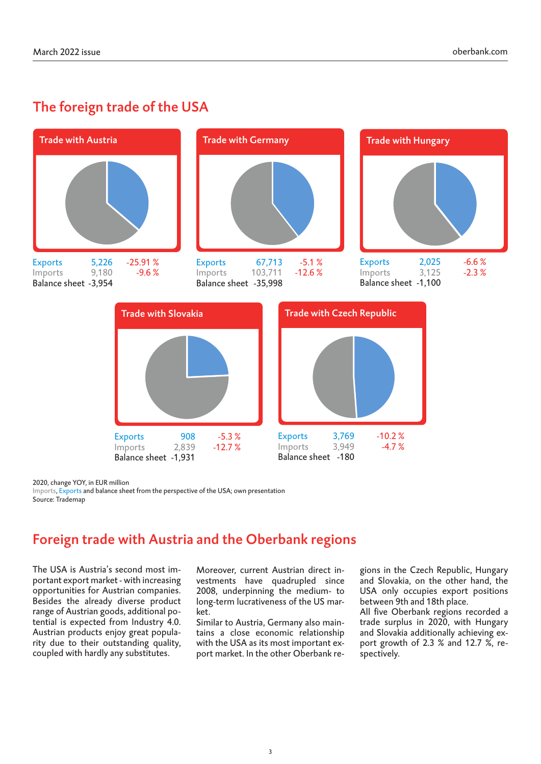## The foreign trade of the USA



2020, change YOY, in EUR million

Imports, Exports and balance sheet from the perspective of the USA; own presentation Source: Trademap

## Foreign trade with Austria and the Oberbank regions

The USA is Austria's second most important export market - with increasing opportunities for Austrian companies. Besides the already diverse product range of Austrian goods, additional potential is expected from Industry 4.0. Austrian products enjoy great popularity due to their outstanding quality, coupled with hardly any substitutes.

Moreover, current Austrian direct investments have quadrupled since 2008, underpinning the medium- to long-term lucrativeness of the US market.

Similar to Austria, Germany also maintains a close economic relationship with the USA as its most important export market. In the other Oberbank regions in the Czech Republic, Hungary and Slovakia, on the other hand, the USA only occupies export positions between 9th and 18th place.

All five Oberbank regions recorded a trade surplus in 2020, with Hungary and Slovakia additionally achieving export growth of 2.3 % and 12.7 %, respectively.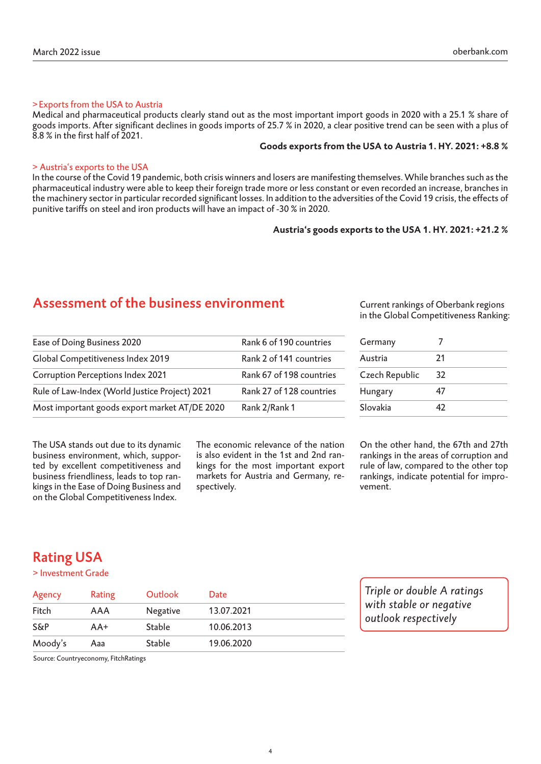#### >Exports from the USA to Austria

Medical and pharmaceutical products clearly stand out as the most important import goods in 2020 with a 25.1 % share of goods imports. After significant declines in goods imports of 25.7 % in 2020, a clear positive trend can be seen with a plus of 8.8 % in the first half of 2021.

#### **Goods exports from the USA to Austria 1. HY. 2021: +8.8 %**

#### > Austria's exports to the USA

In the course of the Covid 19 pandemic, both crisis winners and losers are manifesting themselves. While branches such as the pharmaceutical industry were able to keep their foreign trade more or less constant or even recorded an increase, branches in the machinery sector in particular recorded significant losses. In addition to the adversities of the Covid 19 crisis, the effects of punitive tariffs on steel and iron products will have an impact of -30 % in 2020.

#### **Austria's goods exports to the USA 1. HY. 2021: +21.2 %**

## Assessment of the business environment

Most important goods export market AT/DE 2020 Rank 2/Rank 1

Ease of Doing Business 2020 Rank 6 of 190 countries Global Competitiveness Index 2019 Rank 2 of 141 countries Corruption Perceptions Index 2021 Rank 67 of 198 countries Rule of Law-Index (World Justice Project) 2021 Rank 27 of 128 countries

| Current rankings of Oberbank regions   |  |
|----------------------------------------|--|
| in the Global Competitiveness Ranking: |  |

| Germany        |    |
|----------------|----|
| Austria        | 21 |
| Czech Republic | 32 |
| Hungary        | 47 |
| Slovakia       | 47 |

The USA stands out due to its dynamic business environment, which, supported by excellent competitiveness and business friendliness, leads to top rankings in the Ease of Doing Business and on the Global Competitiveness Index.

The economic relevance of the nation is also evident in the 1st and 2nd rankings for the most important export markets for Austria and Germany, respectively.

On the other hand, the 67th and 27th rankings in the areas of corruption and rule of law, compared to the other top rankings, indicate potential for improvement.

*Triple or double A ratings with stable or negative outlook respectively*

## Rating USA

#### > Investment Grade

| Agency         | Rating | Outlook         | Date       |  |
|----------------|--------|-----------------|------------|--|
| Fitch          | AAA    | <b>Negative</b> | 13.07.2021 |  |
| <b>S&amp;P</b> | AA+    | <b>Stable</b>   | 10.06.2013 |  |
| Moody's        | Aaa    | <b>Stable</b>   | 19.06.2020 |  |

Source: Countryeconomy, FitchRatings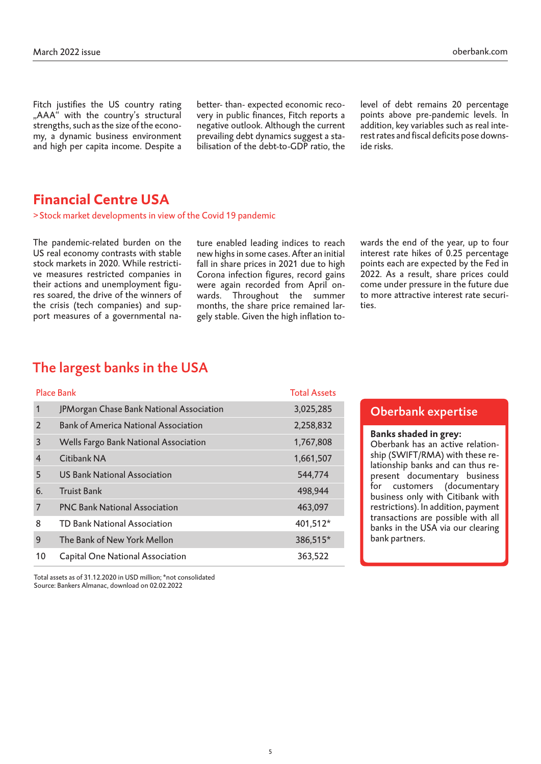Fitch justifies the US country rating "AAA" with the country's structural strengths, such as the size of the economy, a dynamic business environment and high per capita income. Despite a

better- than- expected economic recovery in public finances, Fitch reports a negative outlook. Although the current prevailing debt dynamics suggest a stabilisation of the debt-to-GDP ratio, the

level of debt remains 20 percentage points above pre-pandemic levels. In addition, key variables such as real interest rates and fiscal deficits pose downside risks.

## **Financial Centre USA**

>Stock market developments in view of the Covid 19 pandemic

The pandemic-related burden on the US real economy contrasts with stable stock markets in 2020. While restrictive measures restricted companies in their actions and unemployment figures soared, the drive of the winners of the crisis (tech companies) and support measures of a governmental nature enabled leading indices to reach new highs in some cases. After an initial fall in share prices in 2021 due to high Corona infection figures, record gains were again recorded from April onwards. Throughout the summer months, the share price remained largely stable. Given the high inflation towards the end of the year, up to four interest rate hikes of 0.25 percentage points each are expected by the Fed in 2022. As a result, share prices could come under pressure in the future due to more attractive interest rate securities.

## The largest banks in the USA

| <b>Place Bank</b> |                                             | <b>Total Assets</b> |
|-------------------|---------------------------------------------|---------------------|
| 1                 | JPMorgan Chase Bank National Association    | 3,025,285           |
| $\overline{2}$    | <b>Bank of America National Association</b> | 2,258,832           |
| 3                 | Wells Fargo Bank National Association       | 1,767,808           |
| $\overline{4}$    | Citibank NA                                 | 1,661,507           |
| 5                 | <b>US Bank National Association</b>         | 544,774             |
| 6.                | <b>Truist Bank</b>                          | 498,944             |
| 7                 | <b>PNC Bank National Association</b>        | 463,097             |
| 8                 | <b>TD Bank National Association</b>         | 401,512*            |
| 9                 | The Bank of New York Mellon                 | 386,515*            |
| 10                | Capital One National Association            | 363,522             |

Oberbank expertise

#### **Banks shaded in grey:**

Oberbank has an active relationship (SWIFT/RMA) with these relationship banks and can thus represent documentary business for customers (documentary business only with Citibank with restrictions). In addition, payment transactions are possible with all banks in the USA via our clearing bank partners.

Total assets as of 31.12.2020 in USD million; \*not consolidated Source: Bankers Almanac, download on 02.02.2022